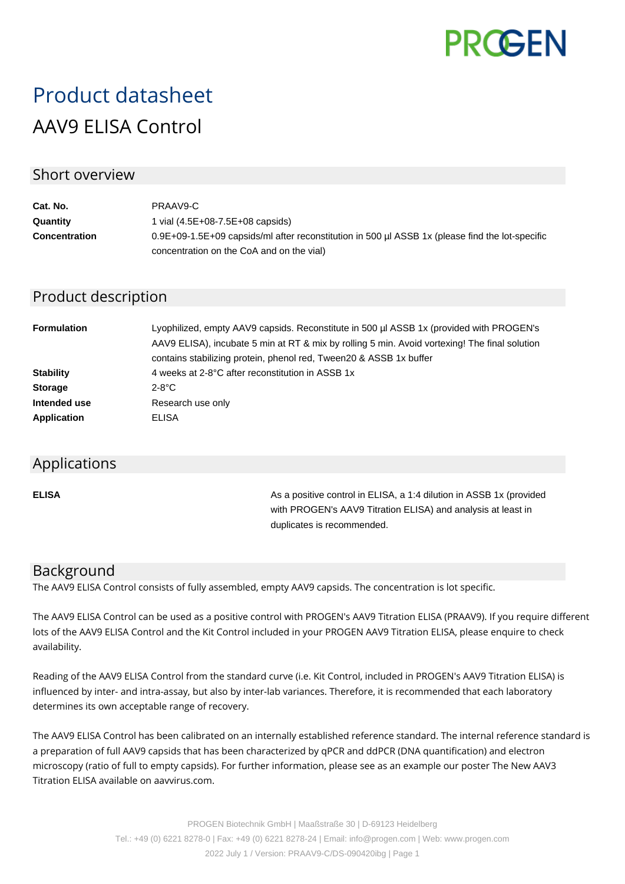

# Product datasheet AAV9 ELISA Control

## Short overview

| Cat. No.             | PRAAV9-C                                                                                        |
|----------------------|-------------------------------------------------------------------------------------------------|
| Quantity             | 1 vial $(4.5E+08-7.5E+08$ capsids)                                                              |
| <b>Concentration</b> | 0.9E+09-1.5E+09 capsids/ml after reconstitution in 500 µl ASSB 1x (please find the lot-specific |
|                      | concentration on the CoA and on the vial)                                                       |

# Product description

| <b>Formulation</b> | Lyophilized, empty AAV9 capsids. Reconstitute in 500 µl ASSB 1x (provided with PROGEN's<br>AAV9 ELISA), incubate 5 min at RT & mix by rolling 5 min. Avoid vortexing! The final solution<br>contains stabilizing protein, phenol red, Tween20 & ASSB 1x buffer |
|--------------------|----------------------------------------------------------------------------------------------------------------------------------------------------------------------------------------------------------------------------------------------------------------|
| <b>Stability</b>   | 4 weeks at 2-8°C after reconstitution in ASSB 1x                                                                                                                                                                                                               |
| <b>Storage</b>     | $2-8$ °C                                                                                                                                                                                                                                                       |
| Intended use       | Research use only                                                                                                                                                                                                                                              |
| <b>Application</b> | ELISA                                                                                                                                                                                                                                                          |

#### Applications

**ELISA As a positive control in ELISA, a 1:4 dilution in ASSB 1x (provided Assets** 1:4 dilution in ASSB 1x (provided with PROGEN's AAV9 Titration ELISA) and analysis at least in duplicates is recommended.

## Background

The AAV9 ELISA Control consists of fully assembled, empty AAV9 capsids. The concentration is lot specific.

The AAV9 ELISA Control can be used as a positive control with PROGEN's AAV9 Titration ELISA (PRAAV9). If you require different lots of the AAV9 ELISA Control and the Kit Control included in your PROGEN AAV9 Titration ELISA, please enquire to check availability.

Reading of the AAV9 ELISA Control from the standard curve (i.e. Kit Control, included in PROGEN's AAV9 Titration ELISA) is influenced by inter- and intra-assay, but also by inter-lab variances. Therefore, it is recommended that each laboratory determines its own acceptable range of recovery.

The AAV9 ELISA Control has been calibrated on an internally established reference standard. The internal reference standard is a preparation of full AAV9 capsids that has been characterized by qPCR and ddPCR (DNA quantification) and electron microscopy (ratio of full to empty capsids). For further information, please see as an example our poster The New AAV3 Titration ELISA available on aavvirus.com.